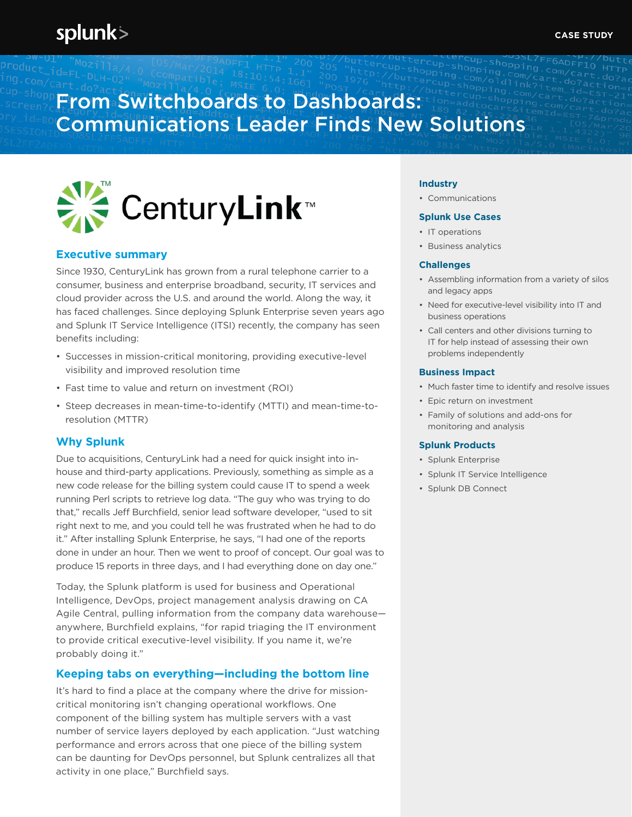# splunk>

# From Switchboards to Dashboards: Communications Leader Finds New Solutions



# **Executive summary**

Since 1930, CenturyLink has grown from a rural telephone carrier to a consumer, business and enterprise broadband, security, IT services and cloud provider across the U.S. and around the world. Along the way, it has faced challenges. Since deploying Splunk Enterprise seven years ago and Splunk IT Service Intelligence (ITSI) recently, the company has seen benefits including:

- Successes in mission-critical monitoring, providing executive-level visibility and improved resolution time
- Fast time to value and return on investment (ROI)
- Steep decreases in mean-time-to-identify (MTTI) and mean-time-toresolution (MTTR)

## **Why Splunk**

Due to acquisitions, CenturyLink had a need for quick insight into inhouse and third-party applications. Previously, something as simple as a new code release for the billing system could cause IT to spend a week running Perl scripts to retrieve log data. "The guy who was trying to do that," recalls Jeff Burchfield, senior lead software developer, "used to sit right next to me, and you could tell he was frustrated when he had to do it." After installing Splunk Enterprise, he says, "I had one of the reports done in under an hour. Then we went to proof of concept. Our goal was to produce 15 reports in three days, and I had everything done on day one."

Today, the Splunk platform is used for business and Operational Intelligence, DevOps, project management analysis drawing on CA Agile Central, pulling information from the company data warehouse anywhere, Burchfield explains, "for rapid triaging the IT environment to provide critical executive-level visibility. If you name it, we're probably doing it."

## **Keeping tabs on everything—including the bottom line**

It's hard to find a place at the company where the drive for missioncritical monitoring isn't changing operational workflows. One component of the billing system has multiple servers with a vast number of service layers deployed by each application. "Just watching performance and errors across that one piece of the billing system can be daunting for DevOps personnel, but Splunk centralizes all that activity in one place," Burchfield says.

### **Industry**

• Communications

#### **Splunk Use Cases**

- IT operations
- Business analytics

#### **Challenges**

- Assembling information from a variety of silos and legacy apps
- Need for executive-level visibility into IT and business operations
- Call centers and other divisions turning to IT for help instead of assessing their own problems independently

#### **Business Impact**

- Much faster time to identify and resolve issues
- Epic return on investment
- Family of solutions and add-ons for monitoring and analysis

#### **Splunk Products**

- Splunk Enterprise
- Splunk IT Service Intelligence
- Splunk DB Connect